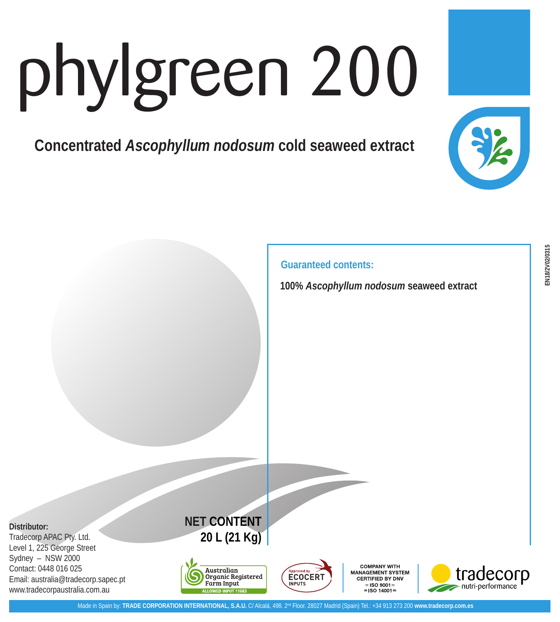## phylgreen 200

**Concentrated** *Ascophyllum nodosum* **cold seaweed extract** 



**Guaranteed contents:**

**100%** *Ascophyllum nodosum* **seaweed extract**

**Distributor:**

Tradecorp APAC Pty. Ltd. Level 1, 225 George Street Sydney – NSW 2000 Contact: 0448 016 025 Email: australia@tradecorp.sapec.pt www.tradecorpaustralia.com.au







**COMPANY WITH MANAGEMENT SYSTEM** CERTIFIED BY DNV  $=$ ISO 9001 $=$  $-150, 14001$